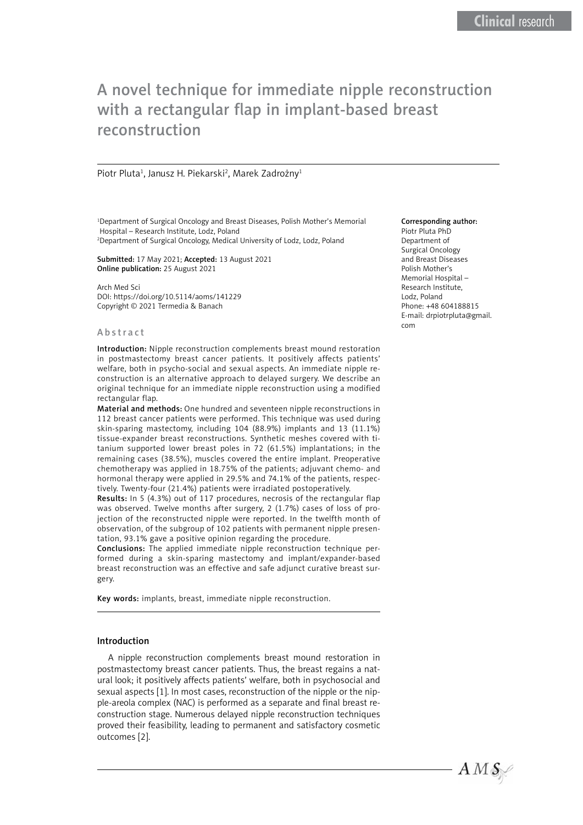# A novel technique for immediate nipple reconstruction with a rectangular flap in implant-based breast reconstruction

#### Piotr Pluta<sup>1</sup>, Janusz H. Piekarski<sup>2</sup>, Marek Zadrożny<sup>1</sup>

<sup>1</sup>Department of Surgical Oncology and Breast Diseases, Polish Mother's Memorial Hospital – Research Institute, Lodz, Poland

2 Department of Surgical Oncology, Medical University of Lodz, Lodz, Poland

Submitted: 17 May 2021; Accepted: 13 August 2021 Online publication: 25 August 2021

Arch Med Sci DOI: https://doi.org/10.5114/aoms/141229 Copyright © 2021 Termedia & Banach

#### Abstract

Introduction: Nipple reconstruction complements breast mound restoration in postmastectomy breast cancer patients. It positively affects patients' welfare, both in psycho-social and sexual aspects. An immediate nipple reconstruction is an alternative approach to delayed surgery. We describe an original technique for an immediate nipple reconstruction using a modified rectangular flap.

Material and methods: One hundred and seventeen nipple reconstructions in 112 breast cancer patients were performed. This technique was used during skin-sparing mastectomy, including 104 (88.9%) implants and 13 (11.1%) tissue-expander breast reconstructions. Synthetic meshes covered with titanium supported lower breast poles in 72 (61.5%) implantations; in the remaining cases (38.5%), muscles covered the entire implant. Preoperative chemotherapy was applied in 18.75% of the patients; adjuvant chemo- and hormonal therapy were applied in 29.5% and 74.1% of the patients, respectively. Twenty-four (21.4%) patients were irradiated postoperatively.

Results: In 5 (4.3%) out of 117 procedures, necrosis of the rectangular flap was observed. Twelve months after surgery, 2 (1.7%) cases of loss of projection of the reconstructed nipple were reported. In the twelfth month of observation, of the subgroup of 102 patients with permanent nipple presentation, 93.1% gave a positive opinion regarding the procedure.

Conclusions: The applied immediate nipple reconstruction technique performed during a skin-sparing mastectomy and implant/expander-based breast reconstruction was an effective and safe adjunct curative breast surgery.

Key words: implants, breast, immediate nipple reconstruction.

## Introduction

A nipple reconstruction complements breast mound restoration in postmastectomy breast cancer patients. Thus, the breast regains a natural look; it positively affects patients' welfare, both in psychosocial and sexual aspects [1]. In most cases, reconstruction of the nipple or the nipple-areola complex (NAC) is performed as a separate and final breast reconstruction stage. Numerous delayed nipple reconstruction techniques proved their feasibility, leading to permanent and satisfactory cosmetic outcomes [2].

#### Corresponding author:

Piotr Pluta PhD Department of Surgical Oncology and Breast Diseases Polish Mother's Memorial Hospital – Research Institute, Lodz, Poland Phone: +48 604188815 E-mail: [drpiotrpluta@gmail.](mailto:drpiotrpluta@gmail.com) [com](mailto:drpiotrpluta@gmail.com)

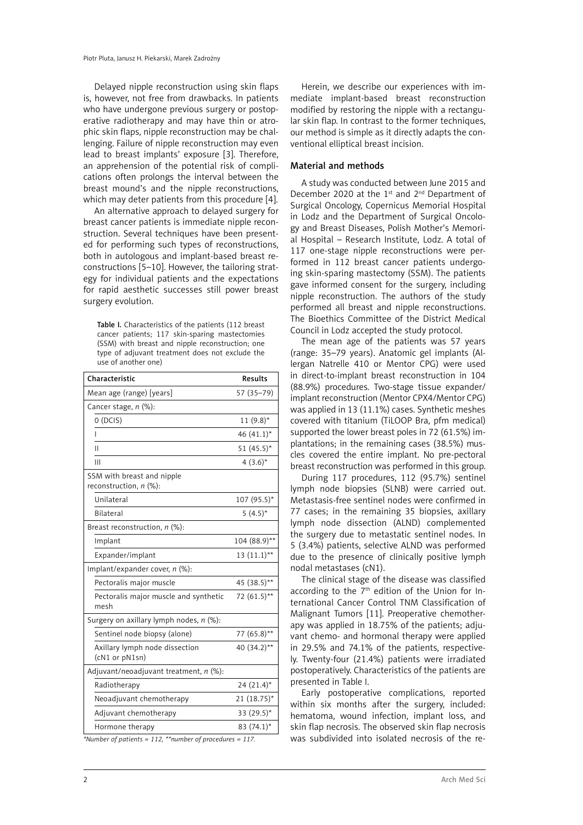Delayed nipple reconstruction using skin flaps is, however, not free from drawbacks. In patients who have undergone previous surgery or postoperative radiotherapy and may have thin or atrophic skin flaps, nipple reconstruction may be challenging. Failure of nipple reconstruction may even lead to breast implants' exposure [3]. Therefore, an apprehension of the potential risk of complications often prolongs the interval between the breast mound's and the nipple reconstructions, which may deter patients from this procedure [4].

An alternative approach to delayed surgery for breast cancer patients is immediate nipple reconstruction. Several techniques have been presented for performing such types of reconstructions, both in autologous and implant-based breast reconstructions [5–10]. However, the tailoring strategy for individual patients and the expectations for rapid aesthetic successes still power breast surgery evolution.

Table I. Characteristics of the patients (112 breast cancer patients; 117 skin-sparing mastectomies (SSM) with breast and nipple reconstruction; one type of adjuvant treatment does not exclude the use of another one)

| Characteristic                                       | <b>Results</b> |
|------------------------------------------------------|----------------|
| Mean age (range) [years]                             | 57 (35-79)     |
| Cancer stage, n (%):                                 |                |
| O(DCIS)                                              | $11(9.8)$ *    |
| I                                                    | 46 $(41.1)^*$  |
| П                                                    | 51 $(45.5)^*$  |
| Ш                                                    | $4(3.6)^*$     |
| SSM with breast and nipple<br>reconstruction, n (%): |                |
| Unilateral                                           | $107(95.5)$ *  |
| <b>Bilateral</b>                                     | $5(4.5)^*$     |
| Breast reconstruction, $n$ (%):                      |                |
| Implant                                              | 104 (88.9)**   |
| Expander/implant                                     | $13(11.1)$ **  |
| Implant/expander cover, n (%):                       |                |
| Pectoralis major muscle                              | 45 (38.5)**    |
| Pectoralis major muscle and synthetic<br>mesh        | 72 (61.5)**    |
| Surgery on axillary lymph nodes, n (%):              |                |
| Sentinel node biopsy (alone)                         | 77 (65.8)**    |
| Axillary lymph node dissection<br>(cN1 or pN1sn)     | 40 (34.2)**    |
| Adjuvant/neoadjuvant treatment, $n$ (%):             |                |
| Radiotherapy                                         | $24(21.4)^*$   |
| Neoadjuvant chemotherapy                             | $21(18.75)^*$  |
| Adjuvant chemotherapy                                | 33 $(29.5)^*$  |
| Hormone therapy                                      | 83 $(74.1)^*$  |

*\*Number of patients = 112, \*\*number of procedures = 117.*

Herein, we describe our experiences with immediate implant-based breast reconstruction modified by restoring the nipple with a rectangular skin flap. In contrast to the former techniques, our method is simple as it directly adapts the conventional elliptical breast incision.

## Material and methods

A study was conducted between June 2015 and December 2020 at the 1<sup>st</sup> and 2<sup>nd</sup> Department of Surgical Oncology, Copernicus Memorial Hospital in Lodz and the Department of Surgical Oncology and Breast Diseases, Polish Mother's Memorial Hospital – Research Institute, Lodz. A total of 117 one-stage nipple reconstructions were performed in 112 breast cancer patients undergoing skin-sparing mastectomy (SSM). The patients gave informed consent for the surgery, including nipple reconstruction. The authors of the study performed all breast and nipple reconstructions. The Bioethics Committee of the District Medical Council in Lodz accepted the study protocol.

The mean age of the patients was 57 years (range: 35–79 years). Anatomic gel implants (Allergan Natrelle 410 or Mentor CPG) were used in direct-to-implant breast reconstruction in 104 (88.9%) procedures. Two-stage tissue expander/ implant reconstruction (Mentor CPX4/Mentor CPG) was applied in 13 (11.1%) cases. Synthetic meshes covered with titanium (TiLOOP Bra, pfm medical) supported the lower breast poles in 72 (61.5%) implantations; in the remaining cases (38.5%) muscles covered the entire implant. No pre-pectoral breast reconstruction was performed in this group.

During 117 procedures, 112 (95.7%) sentinel lymph node biopsies (SLNB) were carried out. Metastasis-free sentinel nodes were confirmed in 77 cases; in the remaining 35 biopsies, axillary lymph node dissection (ALND) complemented the surgery due to metastatic sentinel nodes. In 5 (3.4%) patients, selective ALND was performed due to the presence of clinically positive lymph nodal metastases (cN1).

The clinical stage of the disease was classified according to the  $7<sup>th</sup>$  edition of the Union for International Cancer Control TNM Classification of Malignant Tumors [11]. Preoperative chemotherapy was applied in 18.75% of the patients; adjuvant chemo- and hormonal therapy were applied in 29.5% and 74.1% of the patients, respectively. Twenty-four (21.4%) patients were irradiated postoperatively. Characteristics of the patients are presented in Table I.

Early postoperative complications, reported within six months after the surgery, included: hematoma, wound infection, implant loss, and skin flap necrosis. The observed skin flap necrosis was subdivided into isolated necrosis of the re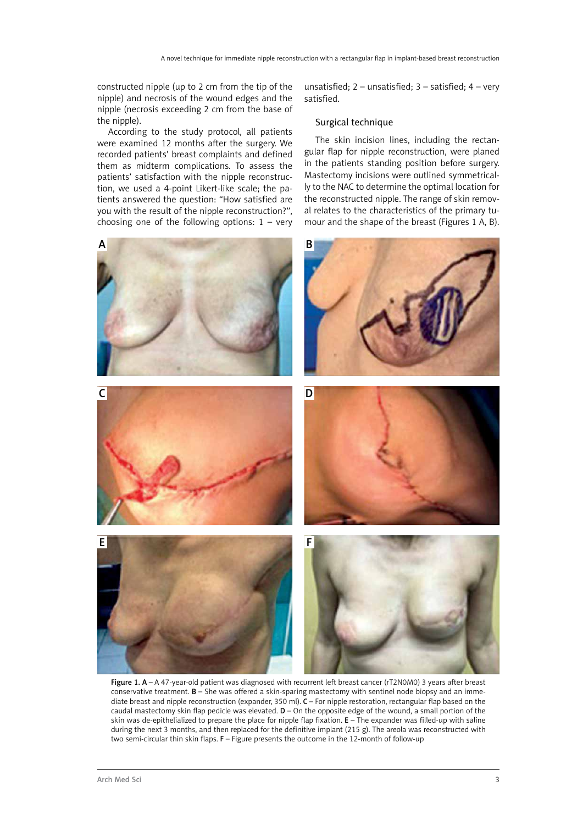constructed nipple (up to 2 cm from the tip of the nipple) and necrosis of the wound edges and the nipple (necrosis exceeding 2 cm from the base of the nipple).

According to the study protocol, all patients were examined 12 months after the surgery. We recorded patients' breast complaints and defined them as midterm complications. To assess the patients' satisfaction with the nipple reconstruction, we used a 4-point Likert-like scale; the patients answered the question: "How satisfied are you with the result of the nipple reconstruction?", choosing one of the following options:  $1 - \text{very}$  unsatisfied;  $2$  – unsatisfied;  $3$  – satisfied;  $4$  – very satisfied.

# Surgical technique

The skin incision lines, including the rectangular flap for nipple reconstruction, were planed in the patients standing position before surgery. Mastectomy incisions were outlined symmetrically to the NAC to determine the optimal location for the reconstructed nipple. The range of skin removal relates to the characteristics of the primary tumour and the shape of the breast (Figures 1 A, B).



Figure 1. A – A 47-year-old patient was diagnosed with recurrent left breast cancer (rT2N0M0) 3 years after breast conservative treatment. **B** – She was offered a skin-sparing mastectomy with sentinel node biopsy and an immediate breast and nipple reconstruction (expander, 350 ml). C – For nipple restoration, rectangular flap based on the caudal mastectomy skin flap pedicle was elevated.  $D -$  On the opposite edge of the wound, a small portion of the skin was de-epithelialized to prepare the place for nipple flap fixation. E – The expander was filled-up with saline during the next 3 months, and then replaced for the definitive implant (215 g). The areola was reconstructed with two semi-circular thin skin flaps. F - Figure presents the outcome in the 12-month of follow-up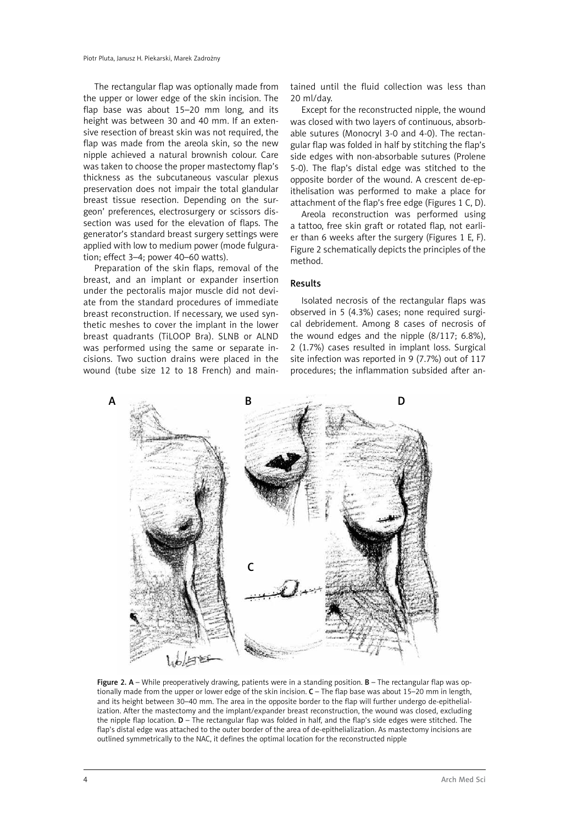The rectangular flap was optionally made from the upper or lower edge of the skin incision. The flap base was about 15–20 mm long, and its height was between 30 and 40 mm. If an extensive resection of breast skin was not required, the flap was made from the areola skin, so the new nipple achieved a natural brownish colour. Care was taken to choose the proper mastectomy flap's thickness as the subcutaneous vascular plexus preservation does not impair the total glandular breast tissue resection. Depending on the surgeon' preferences, electrosurgery or scissors dissection was used for the elevation of flaps. The generator's standard breast surgery settings were applied with low to medium power (mode fulguration; effect 3–4; power 40–60 watts).

Preparation of the skin flaps, removal of the breast, and an implant or expander insertion under the pectoralis major muscle did not deviate from the standard procedures of immediate breast reconstruction. If necessary, we used synthetic meshes to cover the implant in the lower breast quadrants (TiLOOP Bra). SLNB or ALND was performed using the same or separate incisions. Two suction drains were placed in the wound (tube size 12 to 18 French) and maintained until the fluid collection was less than 20 ml/day.

Except for the reconstructed nipple, the wound was closed with two layers of continuous, absorbable sutures (Monocryl 3-0 and 4-0). The rectangular flap was folded in half by stitching the flap's side edges with non-absorbable sutures (Prolene 5-0). The flap's distal edge was stitched to the opposite border of the wound. A crescent de-epithelisation was performed to make a place for attachment of the flap's free edge (Figures 1 C, D).

Areola reconstruction was performed using a tattoo, free skin graft or rotated flap, not earlier than 6 weeks after the surgery (Figures 1 E, F). Figure 2 schematically depicts the principles of the method.

# Results

Isolated necrosis of the rectangular flaps was observed in 5 (4.3%) cases; none required surgical debridement. Among 8 cases of necrosis of the wound edges and the nipple (8/117; 6.8%), 2 (1.7%) cases resulted in implant loss. Surgical site infection was reported in 9 (7.7%) out of 117 procedures; the inflammation subsided after an-



Figure 2. A – While preoperatively drawing, patients were in a standing position.  $B$  – The rectangular flap was optionally made from the upper or lower edge of the skin incision. C – The flap base was about 15–20 mm in length, and its height between 30–40 mm. The area in the opposite border to the flap will further undergo de-epithelialization. After the mastectomy and the implant/expander breast reconstruction, the wound was closed, excluding the nipple flap location.  $D$  – The rectangular flap was folded in half, and the flap's side edges were stitched. The flap's distal edge was attached to the outer border of the area of de-epithelialization. As mastectomy incisions are outlined symmetrically to the NAC, it defines the optimal location for the reconstructed nipple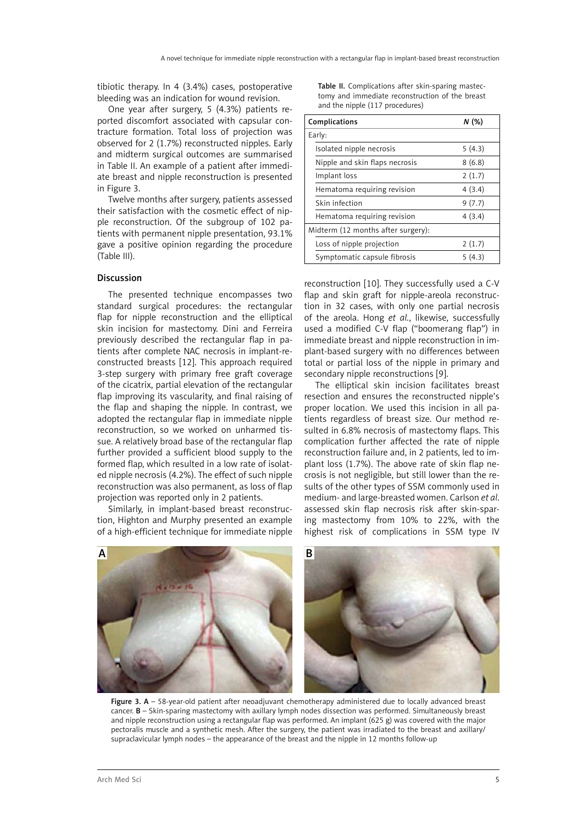tibiotic therapy. In 4 (3.4%) cases, postoperative bleeding was an indication for wound revision.

One year after surgery, 5 (4.3%) patients reported discomfort associated with capsular contracture formation. Total loss of projection was observed for 2 (1.7%) reconstructed nipples. Early and midterm surgical outcomes are summarised in Table II. An example of a patient after immediate breast and nipple reconstruction is presented in Figure 3.

Twelve months after surgery, patients assessed their satisfaction with the cosmetic effect of nipple reconstruction. Of the subgroup of 102 patients with permanent nipple presentation, 93.1% gave a positive opinion regarding the procedure (Table III).

### Discussion

The presented technique encompasses two standard surgical procedures: the rectangular flap for nipple reconstruction and the elliptical skin incision for mastectomy. Dini and Ferreira previously described the rectangular flap in patients after complete NAC necrosis in implant-reconstructed breasts [12]. This approach required 3-step surgery with primary free graft coverage of the cicatrix, partial elevation of the rectangular flap improving its vascularity, and final raising of the flap and shaping the nipple. In contrast, we adopted the rectangular flap in immediate nipple reconstruction, so we worked on unharmed tissue. A relatively broad base of the rectangular flap further provided a sufficient blood supply to the formed flap, which resulted in a low rate of isolated nipple necrosis (4.2%). The effect of such nipple reconstruction was also permanent, as loss of flap projection was reported only in 2 patients.

Similarly, in implant-based breast reconstruction, Highton and Murphy presented an example of a high-efficient technique for immediate nipple

Table II. Complications after skin-sparing mastectomy and immediate reconstruction of the breast and the nipple (117 procedures)

| Complications                      | N(%)   |
|------------------------------------|--------|
| Early:                             |        |
| Isolated nipple necrosis           | 5(4.3) |
| Nipple and skin flaps necrosis     | 8(6.8) |
| Implant loss                       | 2(1.7) |
| Hematoma requiring revision        | 4(3.4) |
| Skin infection                     | 9(7.7) |
| Hematoma requiring revision        | 4(3.4) |
| Midterm (12 months after surgery): |        |
| Loss of nipple projection          | 2(1.7) |
| Symptomatic capsule fibrosis       | 5(4.3) |

reconstruction [10]. They successfully used a C-V flap and skin graft for nipple-areola reconstruction in 32 cases, with only one partial necrosis of the areola. Hong *et al.*, likewise, successfully used a modified C-V flap ("boomerang flap") in immediate breast and nipple reconstruction in implant-based surgery with no differences between total or partial loss of the nipple in primary and secondary nipple reconstructions [9].

The elliptical skin incision facilitates breast resection and ensures the reconstructed nipple's proper location. We used this incision in all patients regardless of breast size. Our method resulted in 6.8% necrosis of mastectomy flaps. This complication further affected the rate of nipple reconstruction failure and, in 2 patients, led to implant loss (1.7%). The above rate of skin flap necrosis is not negligible, but still lower than the results of the other types of SSM commonly used in medium- and large-breasted women. Carlson *et al*. assessed skin flap necrosis risk after skin-sparing mastectomy from 10% to 22%, with the highest risk of complications in SSM type IV



Figure 3. A - 58-year-old patient after neoadjuvant chemotherapy administered due to locally advanced breast cancer. B – Skin-sparing mastectomy with axillary lymph nodes dissection was performed. Simultaneously breast and nipple reconstruction using a rectangular flap was performed. An implant (625 g) was covered with the major pectoralis muscle and a synthetic mesh. After the surgery, the patient was irradiated to the breast and axillary/ supraclavicular lymph nodes – the appearance of the breast and the nipple in 12 months follow-up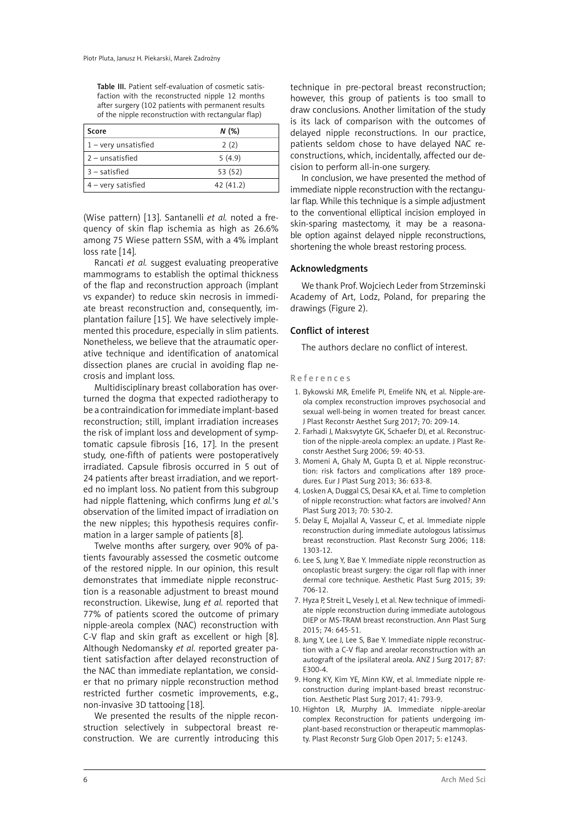Table III. Patient self-evaluation of cosmetic satisfaction with the reconstructed nipple 12 months after surgery (102 patients with permanent results of the nipple reconstruction with rectangular flap)

| Score                  | N(%)     |
|------------------------|----------|
| $1 -$ very unsatisfied | 2(2)     |
| $2$ – unsatisfied      | 5(4.9)   |
| $3$ – satisfied        | 53 (52)  |
| $4 -$ very satisfied   | 42(41.2) |

(Wise pattern) [13]. Santanelli *et al.* noted a frequency of skin flap ischemia as high as 26.6% among 75 Wiese pattern SSM, with a 4% implant loss rate [14].

Rancati *et al.* suggest evaluating preoperative mammograms to establish the optimal thickness of the flap and reconstruction approach (implant vs expander) to reduce skin necrosis in immediate breast reconstruction and, consequently, implantation failure [15]. We have selectively implemented this procedure, especially in slim patients. Nonetheless, we believe that the atraumatic operative technique and identification of anatomical dissection planes are crucial in avoiding flap necrosis and implant loss.

Multidisciplinary breast collaboration has overturned the dogma that expected radiotherapy to be a contraindication for immediate implant-based reconstruction; still, implant irradiation increases the risk of implant loss and development of symptomatic capsule fibrosis [16, 17]. In the present study, one-fifth of patients were postoperatively irradiated. Capsule fibrosis occurred in 5 out of 24 patients after breast irradiation, and we reported no implant loss. No patient from this subgroup had nipple flattening, which confirms Jung *et al.*'s observation of the limited impact of irradiation on the new nipples; this hypothesis requires confirmation in a larger sample of patients [8].

Twelve months after surgery, over 90% of patients favourably assessed the cosmetic outcome of the restored nipple. In our opinion, this result demonstrates that immediate nipple reconstruction is a reasonable adjustment to breast mound reconstruction. Likewise, Jung *et al.* reported that 77% of patients scored the outcome of primary nipple-areola complex (NAC) reconstruction with C-V flap and skin graft as excellent or high [8]. Although Nedomansky *et al.* reported greater patient satisfaction after delayed reconstruction of the NAC than immediate replantation, we consider that no primary nipple reconstruction method restricted further cosmetic improvements, e.g., non-invasive 3D tattooing [18].

We presented the results of the nipple reconstruction selectively in subpectoral breast reconstruction. We are currently introducing this technique in pre-pectoral breast reconstruction; however, this group of patients is too small to draw conclusions. Another limitation of the study is its lack of comparison with the outcomes of delayed nipple reconstructions. In our practice, patients seldom chose to have delayed NAC reconstructions, which, incidentally, affected our decision to perform all-in-one surgery.

In conclusion, we have presented the method of immediate nipple reconstruction with the rectangular flap. While this technique is a simple adjustment to the conventional elliptical incision employed in skin-sparing mastectomy, it may be a reasonable option against delayed nipple reconstructions, shortening the whole breast restoring process.

#### Acknowledgments

We thank Prof. Wojciech Leder from Strzeminski Academy of Art, Lodz, Poland, for preparing the drawings (Figure 2).

#### Conflict of interest

The authors declare no conflict of interest.

#### References

- 1. Bykowski MR, Emelife PI, Emelife NN, et al. Nipple-areola complex reconstruction improves psychosocial and sexual well-being in women treated for breast cancer. J Plast Reconstr Aesthet Surg 2017; 70: 209-14.
- 2. Farhadi J, Maksvytyte GK, Schaefer DJ, et al. Reconstruction of the nipple-areola complex: an update. J Plast Reconstr Aesthet Surg 2006; 59: 40-53.
- 3. Momeni A, Ghaly M, Gupta D, et al. Nipple reconstruction: risk factors and complications after 189 procedures. Eur J Plast Surg 2013; 36: 633-8.
- 4. Losken A, Duggal CS, Desai KA, et al. Time to completion of nipple reconstruction: what factors are involved? Ann Plast Surg 2013; 70: 530-2.
- 5. Delay E, Mojallal A, Vasseur C, et al. Immediate nipple reconstruction during immediate autologous latissimus breast reconstruction. Plast Reconstr Surg 2006; 118: 1303-12.
- 6. Lee S, Jung Y, Bae Y. Immediate nipple reconstruction as oncoplastic breast surgery: the cigar roll flap with inner dermal core technique. Aesthetic Plast Surg 2015; 39: 706-12.
- 7. Hyza P, Streit L, Vesely J, et al. New technique of immediate nipple reconstruction during immediate autologous DIEP or MS-TRAM breast reconstruction. Ann Plast Surg 2015; 74: 645-51.
- 8. Jung Y, Lee J, Lee S, Bae Y. Immediate nipple reconstruction with a C-V flap and areolar reconstruction with an autograft of the ipsilateral areola. ANZ J Surg 2017; 87: E300-4.
- 9. Hong KY, Kim YE, Minn KW, et al. Immediate nipple reconstruction during implant-based breast reconstruction. Aesthetic Plast Surg 2017; 41: 793-9.
- 10. Highton LR, Murphy JA. Immediate nipple-areolar complex Reconstruction for patients undergoing implant-based reconstruction or therapeutic mammoplasty. Plast Reconstr Surg Glob Open 2017; 5: e1243.